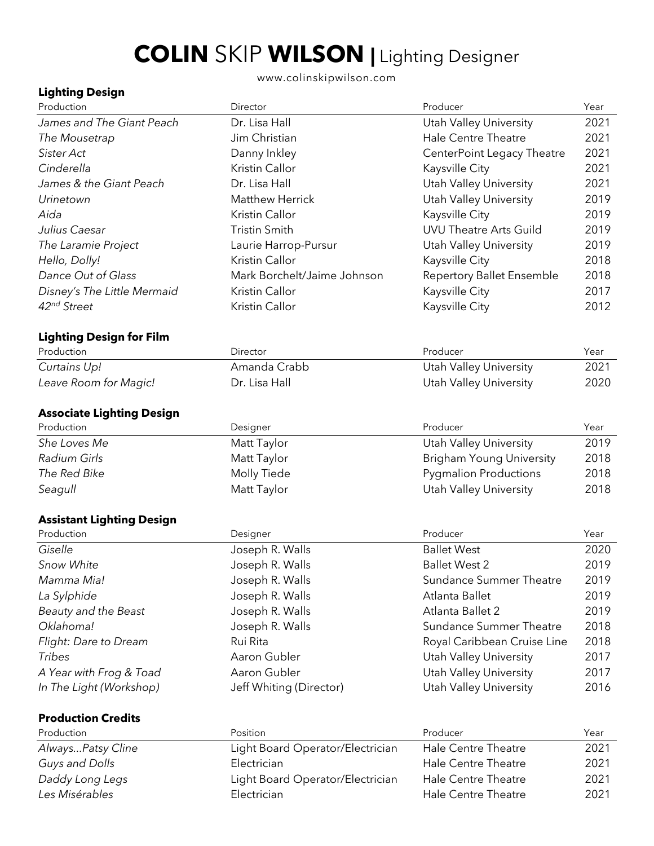# **COLIN** SKIP **WILSON |** Lighting Designer

www.colinskipwilson.com

# **Lighting Design**

| Production                       | Director                         | Producer                         | Year |
|----------------------------------|----------------------------------|----------------------------------|------|
| James and The Giant Peach        | Dr. Lisa Hall                    | Utah Valley University           | 2021 |
| The Mousetrap                    | Jim Christian                    | <b>Hale Centre Theatre</b>       | 2021 |
| Sister Act                       | Danny Inkley                     | CenterPoint Legacy Theatre       | 2021 |
| Cinderella                       | Kristin Callor                   | Kaysville City                   | 2021 |
| James & the Giant Peach          | Dr. Lisa Hall                    | <b>Utah Valley University</b>    | 2021 |
| Urinetown                        | <b>Matthew Herrick</b>           | <b>Utah Valley University</b>    | 2019 |
| Aida                             | Kristin Callor                   | Kaysville City                   | 2019 |
| Julius Caesar                    | <b>Tristin Smith</b>             | <b>UVU Theatre Arts Guild</b>    | 2019 |
| The Laramie Project              | Laurie Harrop-Pursur             | <b>Utah Valley University</b>    | 2019 |
| Hello, Dolly!                    | Kristin Callor                   | Kaysville City                   | 2018 |
| Dance Out of Glass               | Mark Borchelt/Jaime Johnson      | <b>Repertory Ballet Ensemble</b> | 2018 |
| Disney's The Little Mermaid      | Kristin Callor                   | Kaysville City                   | 2017 |
| 42nd Street                      | Kristin Callor                   | Kaysville City                   | 2012 |
| <b>Lighting Design for Film</b>  |                                  |                                  |      |
| Production                       | Director                         | Producer                         | Year |
| Curtains Up!                     | Amanda Crabb                     | Utah Valley University           | 2021 |
| Leave Room for Magic!            | Dr. Lisa Hall                    | <b>Utah Valley University</b>    | 2020 |
| <b>Associate Lighting Design</b> |                                  |                                  |      |
| Production                       | Designer                         | Producer                         | Year |
| She Loves Me                     | Matt Taylor                      | Utah Valley University           | 2019 |
| Radium Girls                     | Matt Taylor                      | <b>Brigham Young University</b>  | 2018 |
| The Red Bike                     | Molly Tiede                      | <b>Pygmalion Productions</b>     | 2018 |
| Seagull                          | Matt Taylor                      | <b>Utah Valley University</b>    | 2018 |
| <b>Assistant Lighting Design</b> |                                  |                                  |      |
| Production                       | Designer                         | Producer                         | Year |
| Giselle                          | Joseph R. Walls                  | <b>Ballet West</b>               | 2020 |
| Snow White                       | Joseph R. Walls                  | <b>Ballet West 2</b>             | 2019 |
| Mamma Mia!                       | Joseph R. Walls                  | Sundance Summer Theatre          | 2019 |
| La Sylphide                      | Joseph R. Walls                  | Atlanta Ballet                   | 2019 |
| Beauty and the Beast             | Joseph R. Walls                  | Atlanta Ballet 2                 | 2019 |
| Oklahoma!                        | Joseph R. Walls                  | Sundance Summer Theatre          | 2018 |
| Flight: Dare to Dream            | Rui Rita                         | Royal Caribbean Cruise Line      | 2018 |
| Tribes                           | Aaron Gubler                     | <b>Utah Valley University</b>    | 2017 |
| A Year with Frog & Toad          | Aaron Gubler                     | <b>Utah Valley University</b>    | 2017 |
| In The Light (Workshop)          | Jeff Whiting (Director)          | Utah Valley University           | 2016 |
| <b>Production Credits</b>        |                                  |                                  |      |
| Production                       | Position                         | Producer                         | Year |
| AlwaysPatsy Cline                | Light Board Operator/Electrician | <b>Hale Centre Theatre</b>       | 2021 |
| Guys and Dolls                   | Electrician                      | Hale Centre Theatre              | 2021 |
| Daddy Long Legs                  | Light Board Operator/Electrician | Hale Centre Theatre              | 2021 |
| Les Misérables                   | Electrician                      | Hale Centre Theatre              | 2021 |